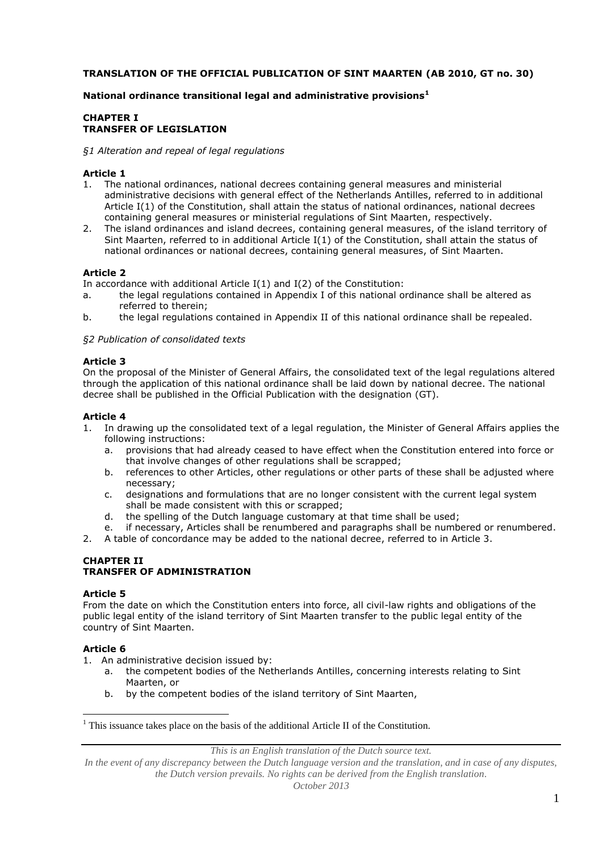### **TRANSLATION OF THE OFFICIAL PUBLICATION OF SINT MAARTEN (AB 2010, GT no. 30)**

### **National ordinance transitional legal and administrative provisions<sup>1</sup>**

### **CHAPTER I TRANSFER OF LEGISLATION**

#### *§1 Alteration and repeal of legal regulations*

#### **Article 1**

- 1. The national ordinances, national decrees containing general measures and ministerial administrative decisions with general effect of the Netherlands Antilles, referred to in additional Article I(1) of the Constitution, shall attain the status of national ordinances, national decrees containing general measures or ministerial regulations of Sint Maarten, respectively.
- 2. The island ordinances and island decrees, containing general measures, of the island territory of Sint Maarten, referred to in additional Article I(1) of the Constitution, shall attain the status of national ordinances or national decrees, containing general measures, of Sint Maarten.

### **Article 2**

In accordance with additional Article I(1) and I(2) of the Constitution:

- a. the legal regulations contained in Appendix I of this national ordinance shall be altered as referred to therein;
- b. the legal regulations contained in Appendix II of this national ordinance shall be repealed.

#### *§2 Publication of consolidated texts*

#### **Article 3**

On the proposal of the Minister of General Affairs, the consolidated text of the legal regulations altered through the application of this national ordinance shall be laid down by national decree. The national decree shall be published in the Official Publication with the designation (GT).

### **Article 4**

- 1. In drawing up the consolidated text of a legal regulation, the Minister of General Affairs applies the following instructions:
	- a. provisions that had already ceased to have effect when the Constitution entered into force or that involve changes of other regulations shall be scrapped;
	- b. references to other Articles, other regulations or other parts of these shall be adjusted where necessary;
	- c. designations and formulations that are no longer consistent with the current legal system shall be made consistent with this or scrapped;
	- d. the spelling of the Dutch language customary at that time shall be used;
	- e. if necessary, Articles shall be renumbered and paragraphs shall be numbered or renumbered.

2. A table of concordance may be added to the national decree, referred to in Article 3.

#### **CHAPTER II TRANSFER OF ADMINISTRATION**

#### **Article 5**

From the date on which the Constitution enters into force, all civil-law rights and obligations of the public legal entity of the island territory of Sint Maarten transfer to the public legal entity of the country of Sint Maarten.

#### **Article 6**

 $\overline{a}$ 

1. An administrative decision issued by:

- a. the competent bodies of the Netherlands Antilles, concerning interests relating to Sint Maarten, or
- b. by the competent bodies of the island territory of Sint Maarten,

*This is an English translation of the Dutch source text.*

<sup>&</sup>lt;sup>1</sup> This issuance takes place on the basis of the additional Article II of the Constitution.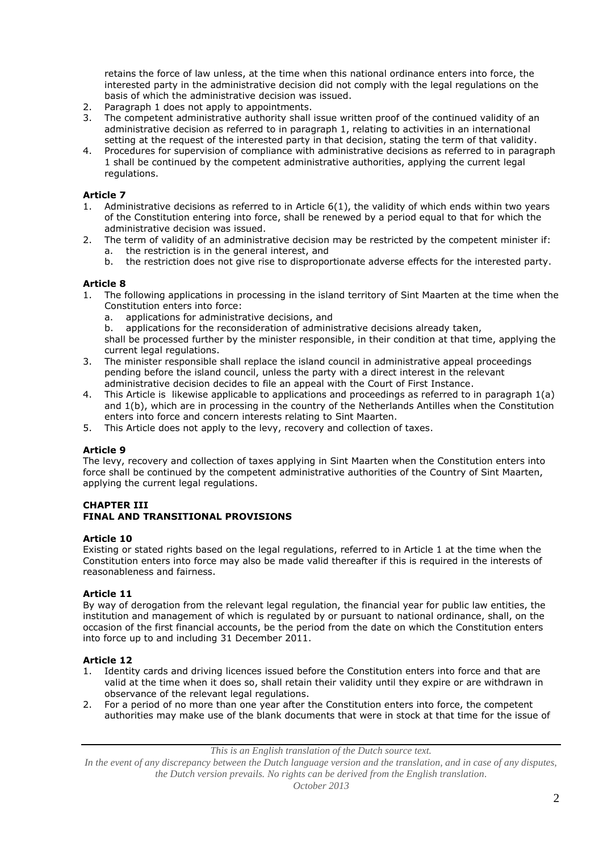retains the force of law unless, at the time when this national ordinance enters into force, the interested party in the administrative decision did not comply with the legal regulations on the basis of which the administrative decision was issued.

- 2. Paragraph 1 does not apply to appointments.
- 3. The competent administrative authority shall issue written proof of the continued validity of an administrative decision as referred to in paragraph 1, relating to activities in an international setting at the request of the interested party in that decision, stating the term of that validity.
- 4. Procedures for supervision of compliance with administrative decisions as referred to in paragraph 1 shall be continued by the competent administrative authorities, applying the current legal regulations.

### **Article 7**

- 1. Administrative decisions as referred to in Article 6(1), the validity of which ends within two years of the Constitution entering into force, shall be renewed by a period equal to that for which the administrative decision was issued.
- 2. The term of validity of an administrative decision may be restricted by the competent minister if:
	- a. the restriction is in the general interest, and
	- b. the restriction does not give rise to disproportionate adverse effects for the interested party.

### **Article 8**

- 1. The following applications in processing in the island territory of Sint Maarten at the time when the Constitution enters into force:
	- a. applications for administrative decisions, and

b. applications for the reconsideration of administrative decisions already taken, shall be processed further by the minister responsible, in their condition at that time, applying the current legal regulations.

- 3. The minister responsible shall replace the island council in administrative appeal proceedings pending before the island council, unless the party with a direct interest in the relevant administrative decision decides to file an appeal with the Court of First Instance.
- 4. This Article is likewise applicable to applications and proceedings as referred to in paragraph 1(a) and 1(b), which are in processing in the country of the Netherlands Antilles when the Constitution enters into force and concern interests relating to Sint Maarten.
- 5. This Article does not apply to the levy, recovery and collection of taxes.

### **Article 9**

The levy, recovery and collection of taxes applying in Sint Maarten when the Constitution enters into force shall be continued by the competent administrative authorities of the Country of Sint Maarten, applying the current legal regulations.

### **CHAPTER III FINAL AND TRANSITIONAL PROVISIONS**

#### **Article 10**

Existing or stated rights based on the legal regulations, referred to in Article 1 at the time when the Constitution enters into force may also be made valid thereafter if this is required in the interests of reasonableness and fairness.

### **Article 11**

By way of derogation from the relevant legal regulation, the financial year for public law entities, the institution and management of which is regulated by or pursuant to national ordinance, shall, on the occasion of the first financial accounts, be the period from the date on which the Constitution enters into force up to and including 31 December 2011.

### **Article 12**

- 1. Identity cards and driving licences issued before the Constitution enters into force and that are valid at the time when it does so, shall retain their validity until they expire or are withdrawn in observance of the relevant legal regulations.
- 2. For a period of no more than one year after the Constitution enters into force, the competent authorities may make use of the blank documents that were in stock at that time for the issue of

*This is an English translation of the Dutch source text.*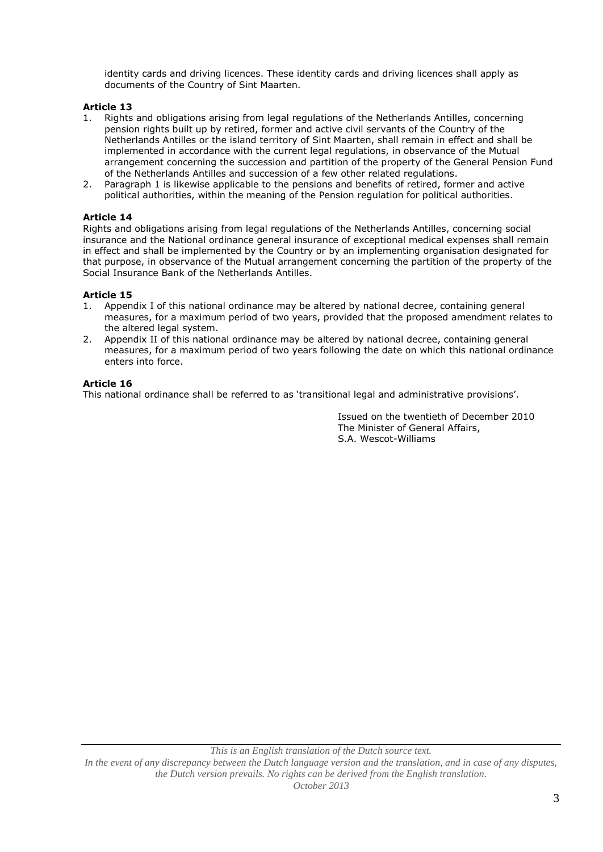identity cards and driving licences. These identity cards and driving licences shall apply as documents of the Country of Sint Maarten.

### **Article 13**

- 1. Rights and obligations arising from legal regulations of the Netherlands Antilles, concerning pension rights built up by retired, former and active civil servants of the Country of the Netherlands Antilles or the island territory of Sint Maarten, shall remain in effect and shall be implemented in accordance with the current legal regulations, in observance of the Mutual arrangement concerning the succession and partition of the property of the General Pension Fund of the Netherlands Antilles and succession of a few other related regulations.
- 2. Paragraph 1 is likewise applicable to the pensions and benefits of retired, former and active political authorities, within the meaning of the Pension regulation for political authorities.

#### **Article 14**

Rights and obligations arising from legal regulations of the Netherlands Antilles, concerning social insurance and the National ordinance general insurance of exceptional medical expenses shall remain in effect and shall be implemented by the Country or by an implementing organisation designated for that purpose, in observance of the Mutual arrangement concerning the partition of the property of the Social Insurance Bank of the Netherlands Antilles.

### **Article 15**

- 1. Appendix I of this national ordinance may be altered by national decree, containing general measures, for a maximum period of two years, provided that the proposed amendment relates to the altered legal system.
- 2. Appendix II of this national ordinance may be altered by national decree, containing general measures, for a maximum period of two years following the date on which this national ordinance enters into force.

#### **Article 16**

This national ordinance shall be referred to as 'transitional legal and administrative provisions'.

Issued on the twentieth of December 2010 The Minister of General Affairs, S.A. Wescot-Williams

*This is an English translation of the Dutch source text. In the event of any discrepancy between the Dutch language version and the translation, and in case of any disputes, the Dutch version prevails. No rights can be derived from the English translation. October 2013*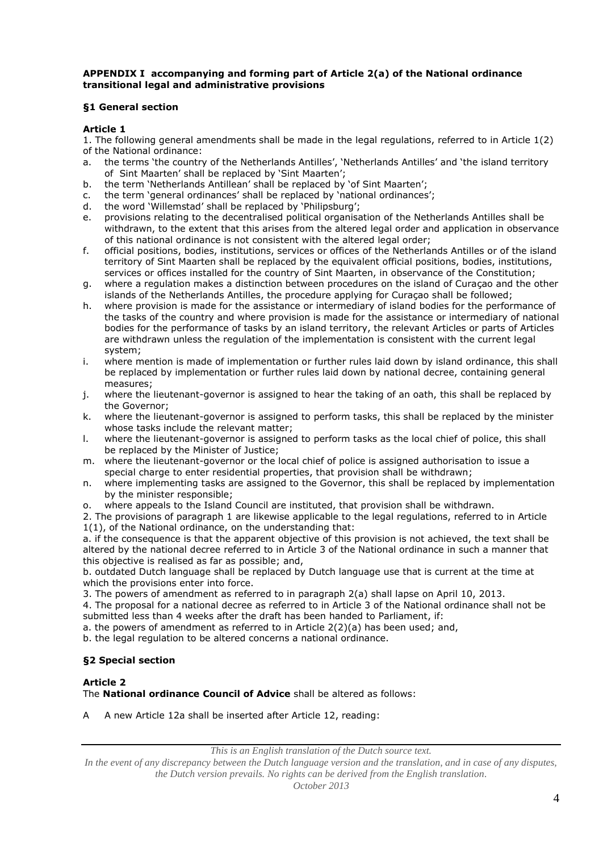### **APPENDIX I accompanying and forming part of Article 2(a) of the National ordinance transitional legal and administrative provisions**

### **§1 General section**

#### **Article 1**

1. The following general amendments shall be made in the legal regulations, referred to in Article 1(2) of the National ordinance:

- a. the terms 'the country of the Netherlands Antilles', 'Netherlands Antilles' and 'the island territory of Sint Maarten' shall be replaced by 'Sint Maarten';
- b. the term 'Netherlands Antillean' shall be replaced by 'of Sint Maarten';
- c. the term 'general ordinances' shall be replaced by 'national ordinances';
- d. the word 'Willemstad' shall be replaced by 'Philipsburg';
- e. provisions relating to the decentralised political organisation of the Netherlands Antilles shall be withdrawn, to the extent that this arises from the altered legal order and application in observance of this national ordinance is not consistent with the altered legal order;
- f. official positions, bodies, institutions, services or offices of the Netherlands Antilles or of the island territory of Sint Maarten shall be replaced by the equivalent official positions, bodies, institutions, services or offices installed for the country of Sint Maarten, in observance of the Constitution;
- g. where a regulation makes a distinction between procedures on the island of Curaçao and the other islands of the Netherlands Antilles, the procedure applying for Curaçao shall be followed;
- h. where provision is made for the assistance or intermediary of island bodies for the performance of the tasks of the country and where provision is made for the assistance or intermediary of national bodies for the performance of tasks by an island territory, the relevant Articles or parts of Articles are withdrawn unless the regulation of the implementation is consistent with the current legal system;
- i. where mention is made of implementation or further rules laid down by island ordinance, this shall be replaced by implementation or further rules laid down by national decree, containing general measures;
- j. where the lieutenant-governor is assigned to hear the taking of an oath, this shall be replaced by the Governor;
- k. where the lieutenant-governor is assigned to perform tasks, this shall be replaced by the minister whose tasks include the relevant matter;
- l. where the lieutenant-governor is assigned to perform tasks as the local chief of police, this shall be replaced by the Minister of Justice;
- m. where the lieutenant-governor or the local chief of police is assigned authorisation to issue a special charge to enter residential properties, that provision shall be withdrawn;
- n. where implementing tasks are assigned to the Governor, this shall be replaced by implementation by the minister responsible;
- o. where appeals to the Island Council are instituted, that provision shall be withdrawn.

2. The provisions of paragraph 1 are likewise applicable to the legal regulations, referred to in Article 1(1), of the National ordinance, on the understanding that:

a. if the consequence is that the apparent objective of this provision is not achieved, the text shall be altered by the national decree referred to in Article 3 of the National ordinance in such a manner that this objective is realised as far as possible; and,

b. outdated Dutch language shall be replaced by Dutch language use that is current at the time at which the provisions enter into force.

3. The powers of amendment as referred to in paragraph 2(a) shall lapse on April 10, 2013.

4. The proposal for a national decree as referred to in Article 3 of the National ordinance shall not be submitted less than 4 weeks after the draft has been handed to Parliament, if:

a. the powers of amendment as referred to in Article 2(2)(a) has been used; and,

b. the legal regulation to be altered concerns a national ordinance.

### **§2 Special section**

### **Article 2**

The **National ordinance Council of Advice** shall be altered as follows:

A A new Article 12a shall be inserted after Article 12, reading:

*This is an English translation of the Dutch source text.*

*In the event of any discrepancy between the Dutch language version and the translation, and in case of any disputes, the Dutch version prevails. No rights can be derived from the English translation.*

*October 2013*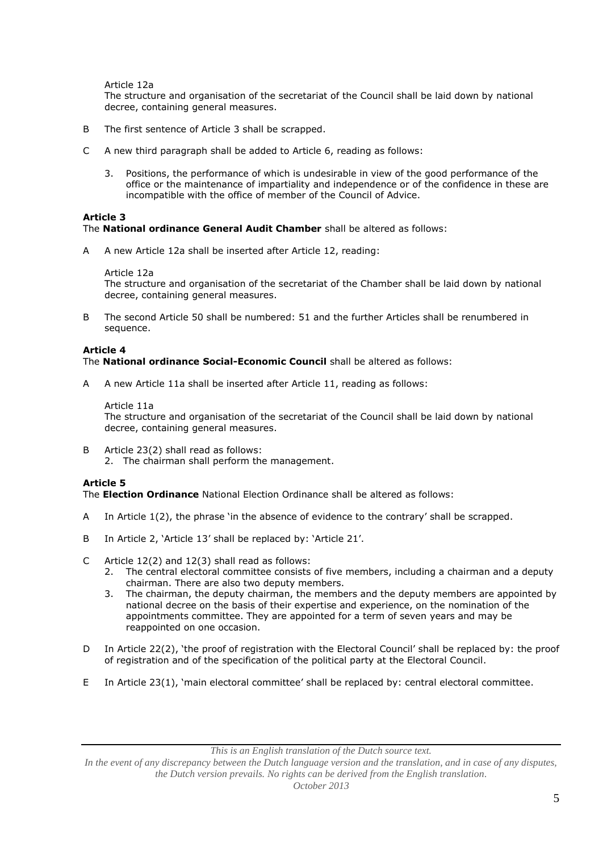Article 12a

The structure and organisation of the secretariat of the Council shall be laid down by national decree, containing general measures.

- B The first sentence of Article 3 shall be scrapped.
- C A new third paragraph shall be added to Article 6, reading as follows:
	- 3. Positions, the performance of which is undesirable in view of the good performance of the office or the maintenance of impartiality and independence or of the confidence in these are incompatible with the office of member of the Council of Advice.

#### **Article 3**

The **National ordinance General Audit Chamber** shall be altered as follows:

A A new Article 12a shall be inserted after Article 12, reading:

Article 12a

The structure and organisation of the secretariat of the Chamber shall be laid down by national decree, containing general measures.

B The second Article 50 shall be numbered: 51 and the further Articles shall be renumbered in sequence.

#### **Article 4**

The **National ordinance Social-Economic Council** shall be altered as follows:

A A new Article 11a shall be inserted after Article 11, reading as follows:

Article 11a The structure and organisation of the secretariat of the Council shall be laid down by national decree, containing general measures.

B Article 23(2) shall read as follows: 2. The chairman shall perform the management.

#### **Article 5**

The **Election Ordinance** National Election Ordinance shall be altered as follows:

- A In Article 1(2), the phrase 'in the absence of evidence to the contrary' shall be scrapped.
- B In Article 2, 'Article 13' shall be replaced by: 'Article 21'.
- C Article 12(2) and 12(3) shall read as follows:
	- 2. The central electoral committee consists of five members, including a chairman and a deputy chairman. There are also two deputy members.
	- 3. The chairman, the deputy chairman, the members and the deputy members are appointed by national decree on the basis of their expertise and experience, on the nomination of the appointments committee. They are appointed for a term of seven years and may be reappointed on one occasion.
- D In Article 22(2), 'the proof of registration with the Electoral Council' shall be replaced by: the proof of registration and of the specification of the political party at the Electoral Council.
- E In Article 23(1), 'main electoral committee' shall be replaced by: central electoral committee.

*This is an English translation of the Dutch source text.*

*In the event of any discrepancy between the Dutch language version and the translation, and in case of any disputes, the Dutch version prevails. No rights can be derived from the English translation.*

*October 2013*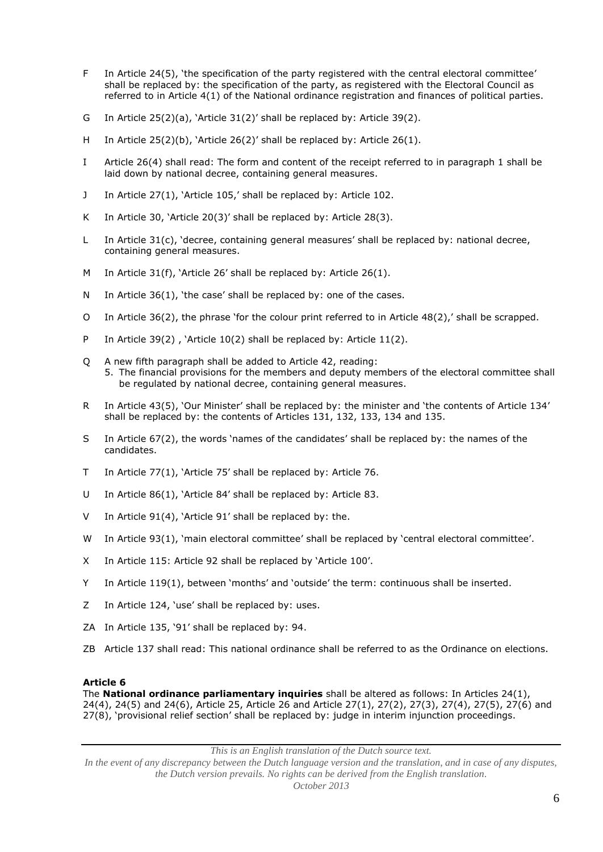- F In Article 24(5), 'the specification of the party registered with the central electoral committee' shall be replaced by: the specification of the party, as registered with the Electoral Council as referred to in Article 4(1) of the National ordinance registration and finances of political parties.
- G In Article 25(2)(a), 'Article 31(2)' shall be replaced by: Article 39(2).
- H In Article 25(2)(b), 'Article 26(2)' shall be replaced by: Article 26(1).
- I Article 26(4) shall read: The form and content of the receipt referred to in paragraph 1 shall be laid down by national decree, containing general measures.
- J In Article 27(1), 'Article 105,' shall be replaced by: Article 102.
- K In Article 30, 'Article 20(3)' shall be replaced by: Article 28(3).
- L In Article 31(c), 'decree, containing general measures' shall be replaced by: national decree, containing general measures.
- M In Article 31(f), 'Article 26' shall be replaced by: Article 26(1).
- N In Article 36(1), 'the case' shall be replaced by: one of the cases.
- O In Article 36(2), the phrase 'for the colour print referred to in Article 48(2),' shall be scrapped.
- P In Article 39(2) , 'Article 10(2) shall be replaced by: Article 11(2).
- Q A new fifth paragraph shall be added to Article 42, reading: 5. The financial provisions for the members and deputy members of the electoral committee shall be regulated by national decree, containing general measures.
- R In Article 43(5), 'Our Minister' shall be replaced by: the minister and 'the contents of Article 134' shall be replaced by: the contents of Articles 131, 132, 133, 134 and 135.
- S In Article 67(2), the words 'names of the candidates' shall be replaced by: the names of the candidates.
- T In Article 77(1), 'Article 75' shall be replaced by: Article 76.
- U In Article 86(1), 'Article 84' shall be replaced by: Article 83.
- V In Article 91(4), 'Article 91' shall be replaced by: the.
- W In Article 93(1), 'main electoral committee' shall be replaced by 'central electoral committee'.
- X In Article 115: Article 92 shall be replaced by 'Article 100'.
- Y In Article 119(1), between 'months' and 'outside' the term: continuous shall be inserted.
- Z In Article 124, 'use' shall be replaced by: uses.
- ZA In Article 135, '91' shall be replaced by: 94.
- ZB Article 137 shall read: This national ordinance shall be referred to as the Ordinance on elections.

#### **Article 6**

The **National ordinance parliamentary inquiries** shall be altered as follows: In Articles 24(1), 24(4), 24(5) and 24(6), Article 25, Article 26 and Article 27(1), 27(2), 27(3), 27(4), 27(5), 27(6) and 27(8), 'provisional relief section' shall be replaced by: judge in interim injunction proceedings.

*This is an English translation of the Dutch source text.*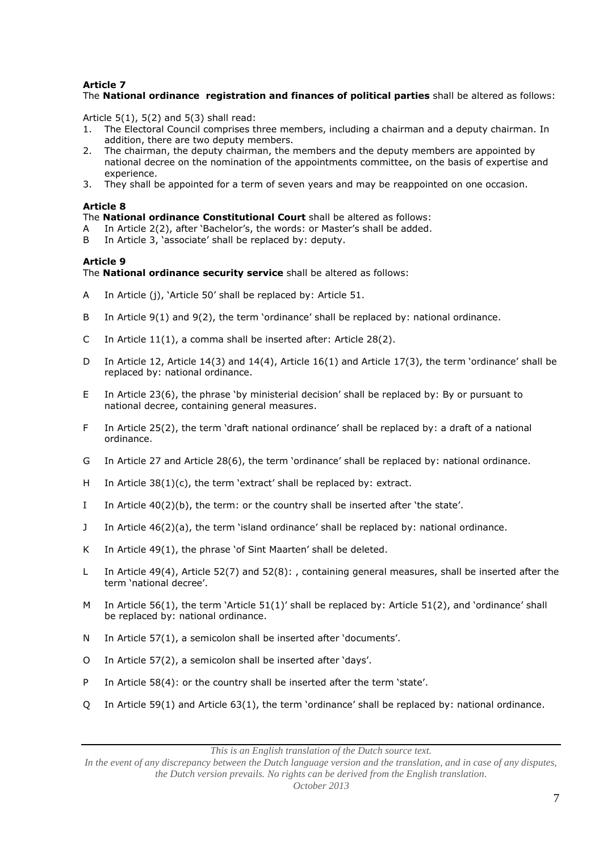# **Article 7**

# The **National ordinance registration and finances of political parties** shall be altered as follows:

Article 5(1), 5(2) and 5(3) shall read:<br>1. The Electoral Council comprises t

- 1. The Electoral Council comprises three members, including a chairman and a deputy chairman. In addition, there are two deputy members.
- 2. The chairman, the deputy chairman, the members and the deputy members are appointed by national decree on the nomination of the appointments committee, on the basis of expertise and experience.
- 3. They shall be appointed for a term of seven years and may be reappointed on one occasion.

#### **Article 8**

The **National ordinance Constitutional Court** shall be altered as follows:

- A In Article 2(2), after 'Bachelor's, the words: or Master's shall be added.<br>B In Article 3. 'associate' shall be replaced by: deputy.
- In Article 3, 'associate' shall be replaced by: deputy.

### **Article 9**

The **National ordinance security service** shall be altered as follows:

- A In Article (j), 'Article 50' shall be replaced by: Article 51.
- B In Article 9(1) and 9(2), the term 'ordinance' shall be replaced by: national ordinance.
- C In Article 11(1), a comma shall be inserted after: Article 28(2).
- D In Article 12, Article 14(3) and 14(4), Article 16(1) and Article 17(3), the term 'ordinance' shall be replaced by: national ordinance.
- E In Article 23(6), the phrase 'by ministerial decision' shall be replaced by: By or pursuant to national decree, containing general measures.
- F In Article 25(2), the term 'draft national ordinance' shall be replaced by: a draft of a national ordinance.
- G In Article 27 and Article 28(6), the term 'ordinance' shall be replaced by: national ordinance.
- H In Article 38(1)(c), the term 'extract' shall be replaced by: extract.
- I In Article 40(2)(b), the term: or the country shall be inserted after 'the state'.
- J In Article 46(2)(a), the term 'island ordinance' shall be replaced by: national ordinance.
- K In Article 49(1), the phrase 'of Sint Maarten' shall be deleted.
- L In Article 49(4), Article 52(7) and 52(8): , containing general measures, shall be inserted after the term 'national decree'.
- M In Article 56(1), the term 'Article 51(1)' shall be replaced by: Article 51(2), and 'ordinance' shall be replaced by: national ordinance.
- N In Article 57(1), a semicolon shall be inserted after 'documents'.
- O In Article 57(2), a semicolon shall be inserted after 'days'.
- P In Article 58(4): or the country shall be inserted after the term 'state'.
- Q In Article 59(1) and Article 63(1), the term 'ordinance' shall be replaced by: national ordinance.

*This is an English translation of the Dutch source text.*

*In the event of any discrepancy between the Dutch language version and the translation, and in case of any disputes, the Dutch version prevails. No rights can be derived from the English translation.*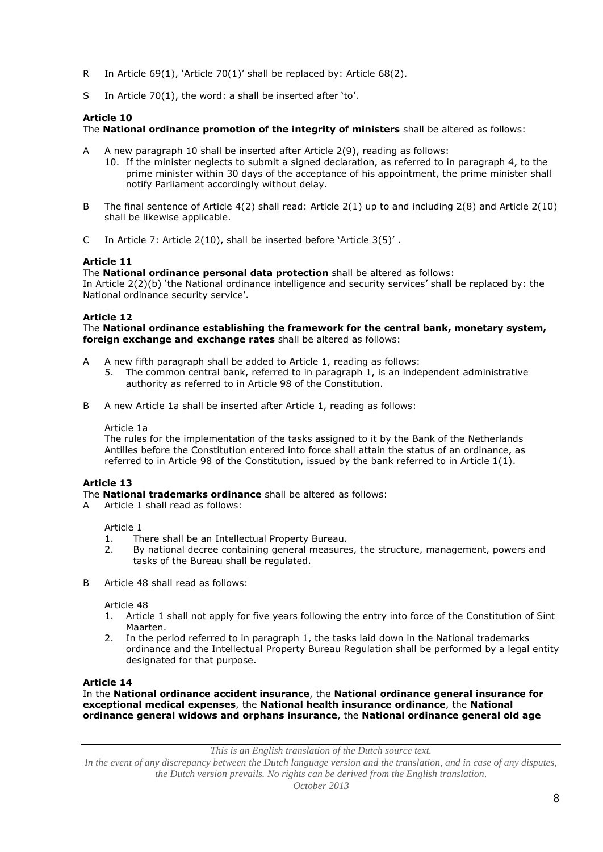- R In Article 69(1), 'Article 70(1)' shall be replaced by: Article 68(2).
- S In Article 70(1), the word: a shall be inserted after 'to'.

### **Article 10**

The **National ordinance promotion of the integrity of ministers** shall be altered as follows:

- A A new paragraph 10 shall be inserted after Article 2(9), reading as follows:
	- 10. If the minister neglects to submit a signed declaration, as referred to in paragraph 4, to the prime minister within 30 days of the acceptance of his appointment, the prime minister shall notify Parliament accordingly without delay.
- B The final sentence of Article 4(2) shall read: Article 2(1) up to and including 2(8) and Article 2(10) shall be likewise applicable.
- C In Article 7: Article 2(10), shall be inserted before 'Article 3(5)' .

# **Article 11**

The **National ordinance personal data protection** shall be altered as follows:

In Article 2(2)(b) 'the National ordinance intelligence and security services' shall be replaced by: the National ordinance security service'.

### **Article 12**

The **National ordinance establishing the framework for the central bank, monetary system, foreign exchange and exchange rates** shall be altered as follows:

- A A new fifth paragraph shall be added to Article 1, reading as follows:
	- 5. The common central bank, referred to in paragraph 1, is an independent administrative authority as referred to in Article 98 of the Constitution.
- B A new Article 1a shall be inserted after Article 1, reading as follows:

#### Article 1a

The rules for the implementation of the tasks assigned to it by the Bank of the Netherlands Antilles before the Constitution entered into force shall attain the status of an ordinance, as referred to in Article 98 of the Constitution, issued by the bank referred to in Article  $1(1)$ .

### **Article 13**

The **National trademarks ordinance** shall be altered as follows:

A Article 1 shall read as follows:

Article 1

- 1. There shall be an Intellectual Property Bureau.
- 2. By national decree containing general measures, the structure, management, powers and tasks of the Bureau shall be regulated.
- B Article 48 shall read as follows:

#### Article 48

- 1. Article 1 shall not apply for five years following the entry into force of the Constitution of Sint Maarten.
- 2. In the period referred to in paragraph 1, the tasks laid down in the National trademarks ordinance and the Intellectual Property Bureau Regulation shall be performed by a legal entity designated for that purpose.

#### **Article 14**

In the **National ordinance accident insurance**, the **National ordinance general insurance for exceptional medical expenses**, the **National health insurance ordinance**, the **National ordinance general widows and orphans insurance**, the **National ordinance general old age** 

*This is an English translation of the Dutch source text.*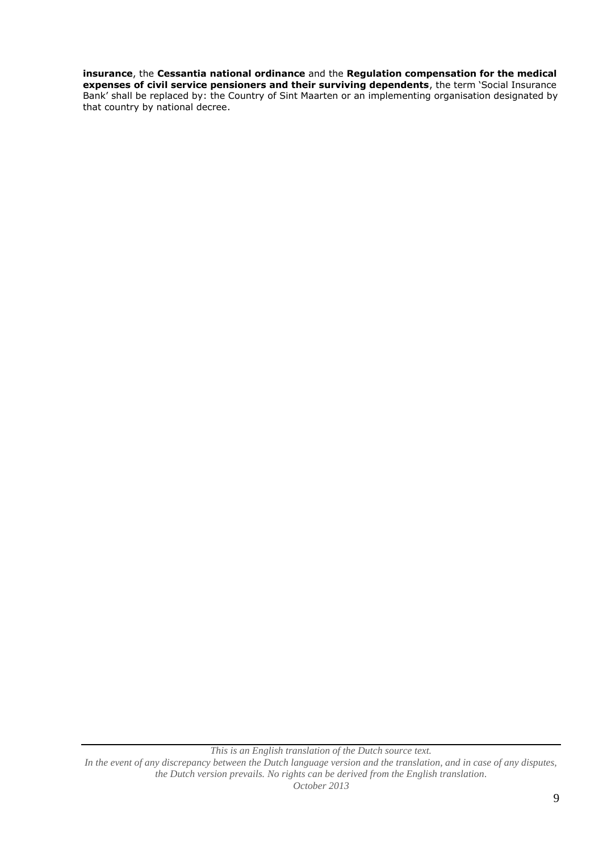# **insurance**, the **Cessantia national ordinance** and the **Regulation compensation for the medical**

**expenses of civil service pensioners and their surviving dependents**, the term 'Social Insurance Bank' shall be replaced by: the Country of Sint Maarten or an implementing organisation designated by that country by national decree.

*This is an English translation of the Dutch source text. In the event of any discrepancy between the Dutch language version and the translation, and in case of any disputes, the Dutch version prevails. No rights can be derived from the English translation. October 2013*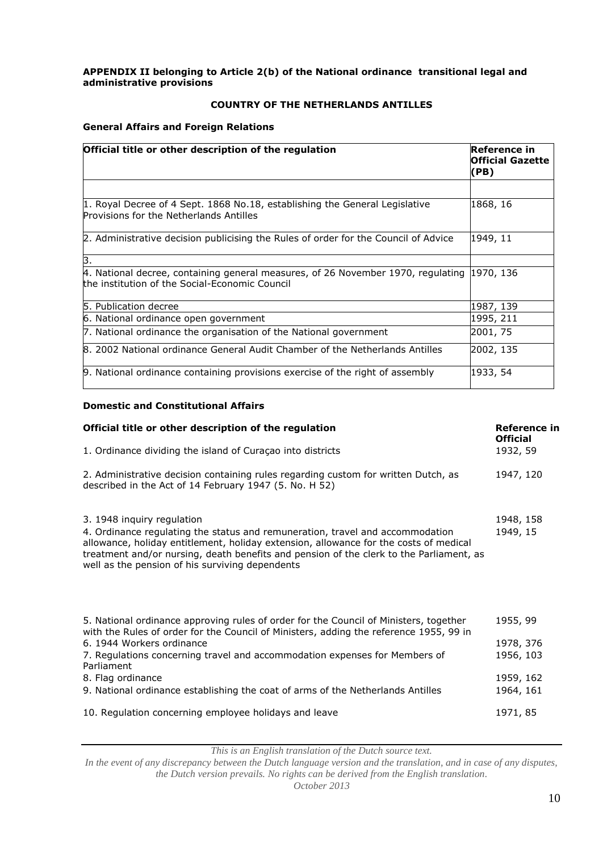### **APPENDIX II belonging to Article 2(b) of the National ordinance transitional legal and administrative provisions**

# **COUNTRY OF THE NETHERLANDS ANTILLES**

### **General Affairs and Foreign Relations**

| Official title or other description of the regulation                                                                                         | Reference in<br><b>Official Gazette</b><br>(PB) |  |
|-----------------------------------------------------------------------------------------------------------------------------------------------|-------------------------------------------------|--|
|                                                                                                                                               |                                                 |  |
| 1. Royal Decree of 4 Sept. 1868 No.18, establishing the General Legislative<br>Provisions for the Netherlands Antilles                        | 1868, 16                                        |  |
| 2. Administrative decision publicising the Rules of order for the Council of Advice                                                           | 1949, 11                                        |  |
| З.                                                                                                                                            |                                                 |  |
| 4. National decree, containing general measures, of 26 November 1970, regulating (1970, 136<br>the institution of the Social-Economic Council |                                                 |  |
| 5. Publication decree                                                                                                                         | 1987, 139                                       |  |
| 6. National ordinance open government                                                                                                         | 1995, 211                                       |  |
| 7. National ordinance the organisation of the National government                                                                             | 2001, 75                                        |  |
| 8. 2002 National ordinance General Audit Chamber of the Netherlands Antilles                                                                  | 2002, 135                                       |  |
| 9. National ordinance containing provisions exercise of the right of assembly                                                                 | 1933, 54                                        |  |

### **Domestic and Constitutional Affairs**

| Official title or other description of the regulation                                                                                                                                                                                                                                                                                              | Reference in<br><b>Official</b>    |
|----------------------------------------------------------------------------------------------------------------------------------------------------------------------------------------------------------------------------------------------------------------------------------------------------------------------------------------------------|------------------------------------|
| 1. Ordinance dividing the island of Curaçao into districts                                                                                                                                                                                                                                                                                         | 1932, 59                           |
| 2. Administrative decision containing rules regarding custom for written Dutch, as<br>described in the Act of 14 February 1947 (5. No. H 52)                                                                                                                                                                                                       | 1947, 120                          |
| 3. 1948 inquiry regulation<br>4. Ordinance regulating the status and remuneration, travel and accommodation<br>allowance, holiday entitlement, holiday extension, allowance for the costs of medical<br>treatment and/or nursing, death benefits and pension of the clerk to the Parliament, as<br>well as the pension of his surviving dependents | 1948, 158<br>1949, 15              |
| 5. National ordinance approving rules of order for the Council of Ministers, together<br>with the Rules of order for the Council of Ministers, adding the reference 1955, 99 in<br>6. 1944 Workers ordinance<br>7. Regulations concerning travel and accommodation expenses for Members of<br>Parliament                                           | 1955, 99<br>1978, 376<br>1956, 103 |
| 8. Flag ordinance<br>9. National ordinance establishing the coat of arms of the Netherlands Antilles                                                                                                                                                                                                                                               | 1959, 162<br>1964, 161             |
| 10. Regulation concerning employee holidays and leave                                                                                                                                                                                                                                                                                              | 1971, 85                           |

*This is an English translation of the Dutch source text.*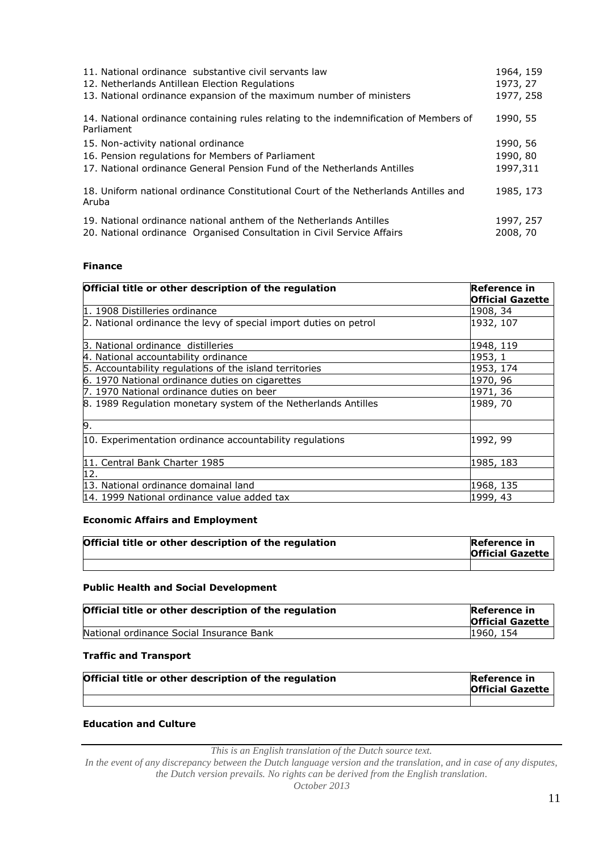| 11. National ordinance substantive civil servants law<br>12. Netherlands Antillean Election Regulations<br>13. National ordinance expansion of the maximum number of ministers | 1964, 159<br>1973, 27<br>1977, 258 |
|--------------------------------------------------------------------------------------------------------------------------------------------------------------------------------|------------------------------------|
| 14. National ordinance containing rules relating to the indemnification of Members of<br>Parliament                                                                            | 1990, 55                           |
| 15. Non-activity national ordinance                                                                                                                                            | 1990, 56                           |
| 16. Pension regulations for Members of Parliament                                                                                                                              | 1990, 80                           |
| 17. National ordinance General Pension Fund of the Netherlands Antilles                                                                                                        | 1997,311                           |
| 18. Uniform national ordinance Constitutional Court of the Netherlands Antilles and<br>Aruba                                                                                   | 1985, 173                          |
| 19. National ordinance national anthem of the Netherlands Antilles                                                                                                             | 1997, 257                          |
| 20. National ordinance Organised Consultation in Civil Service Affairs                                                                                                         | 2008, 70                           |

### **Finance**

| Official title or other description of the regulation             | <b>Reference in</b><br><b>Official Gazette</b> |
|-------------------------------------------------------------------|------------------------------------------------|
| 1. 1908 Distilleries ordinance                                    | 1908, 34                                       |
| 2. National ordinance the levy of special import duties on petrol | 1932, 107                                      |
| 3. National ordinance distilleries                                | 1948, 119                                      |
| 4. National accountability ordinance                              | 1953, 1                                        |
| 5. Accountability regulations of the island territories           | 1953, 174                                      |
| 6. 1970 National ordinance duties on cigarettes                   | 1970, 96                                       |
| 7. 1970 National ordinance duties on beer                         | 1971, 36                                       |
| 8. 1989 Regulation monetary system of the Netherlands Antilles    | 1989, 70                                       |
| 9.                                                                |                                                |
| 10. Experimentation ordinance accountability regulations          | 1992, 99                                       |
| 11. Central Bank Charter 1985                                     | 1985, 183                                      |
| 12.                                                               |                                                |
| 13. National ordinance domainal land                              | 1968, 135                                      |
| 14. 1999 National ordinance value added tax                       | 1999, 43                                       |

## **Economic Affairs and Employment**

| Official title or other description of the regulation | <b>Reference in</b><br><b>Official Gazette</b> |
|-------------------------------------------------------|------------------------------------------------|
|                                                       |                                                |

#### **Public Health and Social Development**

| Official title or other description of the regulation | Reference in<br><b>Official Gazette</b> |
|-------------------------------------------------------|-----------------------------------------|
| National ordinance Social Insurance Bank              | 1960, 154                               |

#### **Traffic and Transport**

| Official title or other description of the regulation | Reference in<br><b>Official Gazette</b> |
|-------------------------------------------------------|-----------------------------------------|
|                                                       |                                         |

# **Education and Culture**

*This is an English translation of the Dutch source text.*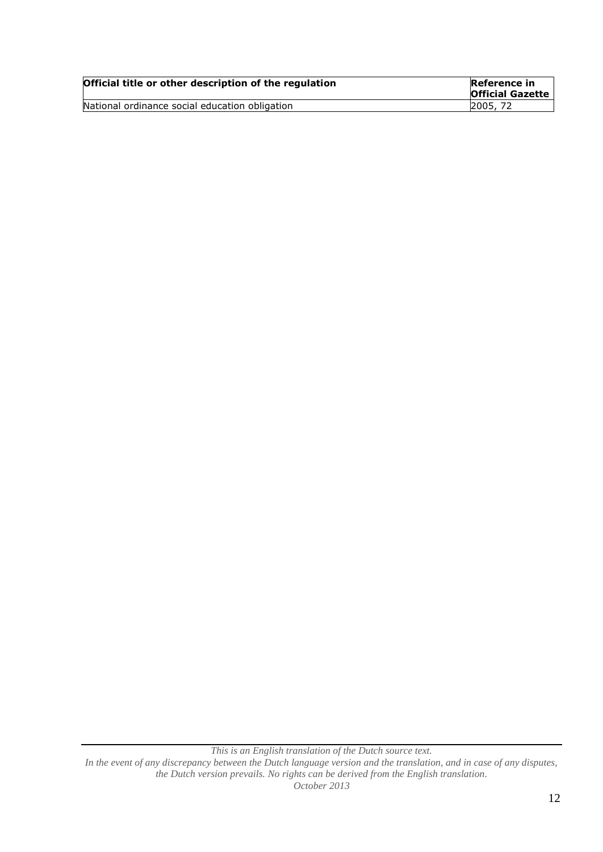| Official title or other description of the regulation | Reference in<br><b>Official Gazette</b> |
|-------------------------------------------------------|-----------------------------------------|
| National ordinance social education obligation        | <b>2005, 72</b>                         |